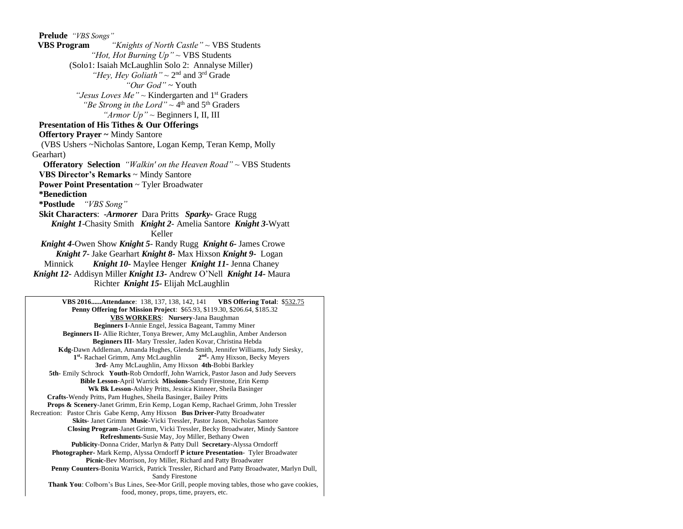**Prelude** *"VBS Songs"*  **VBS Program** *"Knights of North Castle" ~* VBS Students *"Hot, Hot Burning Up" ~* VBS Students (Solo1: Isaiah McLaughlin Solo 2: Annalyse Miller) "*Hey, Hey Goliath*" ~ 2<sup>nd</sup> and 3<sup>rd</sup> Grade *"Our God"* ~ Youth *"Jesus Loves Me"* ~ Kindergarten and 1<sup>st</sup> Graders "Be Strong in the Lord"  $\sim$  4<sup>th</sup> and 5<sup>th</sup> Graders *"Armor Up" ~* Beginners I, II, III  **Presentation of His Tithes & Our Offerings Offertory Prayer ~** Mindy Santore (VBS Ushers ~Nicholas Santore, Logan Kemp, Teran Kemp, Molly Gearhart)  **Offeratory Selection** *"Walkin' on the Heaven Road" ~* VBS Students  **VBS Director's Remarks** ~ Mindy Santore  **Power Point Presentation** ~ Tyler Broadwater  **\*Benediction \*Postlude** *"VBS Song"*  **Skit Characters**: *-Armorer* Dara Pritts *Sparky-* Grace Rugg  *Knight 1*-Chasity Smith *Knight 2*- Amelia Santore *Knight 3*-Wyatt Keller *Knight 4*-Owen Show *Knight 5*- Randy Rugg *Knight 6-* James Crowe  *Knight 7*- Jake Gearhart *Knight 8-* Max Hixson *Knight 9-* Logan Minnick *Knight 10-* Maylee Henger *Knight 11-* Jenna Chaney *Knight 12*- Addisyn Miller *Knight 13-* Andrew O'Nell *Knight 14-* Maura Richter *Knight 15-* Elijah McLaughlin

 **VBS 2016......Attendance**: 138, 137, 138, 142, 141 **VBS Offering Total**: \$532.75 **Penny Offering for Mission Project**: \$65.93, \$119.30, \$206.64, \$185.32 **VBS WORKERS**: **Nursery**-Jana Baughman **Beginners I**-Annie Engel, Jessica Bageant, Tammy Miner **Beginners II-** Allie Richter, Tonya Brewer, Amy McLaughlin, Amber Anderson **Beginners III**- Mary Tressler, Jaden Kovar, Christina Hebda **Kdg-**Dawn Addleman, Amanda Hughes, Glenda Smith, Jennifer Williams, Judy Siesky, **1 st -** Rachael Grimm, Amy McLaughlin **2 nd -** Amy Hixson, Becky Meyers **3rd**- Amy McLaughlin, Amy Hixson **4th**-Bobbi Barkley **5th**- Emily Schrock **Youth-**Rob Orndorff, John Warrick, Pastor Jason and Judy Seevers **Bible Lesson**-April Warrick **Missions**-Sandy Firestone, Erin Kemp **Wk Bk Lesson**-Ashley Pritts, Jessica Kinneer, Sheila Basinger  **Crafts**-Wendy Pritts, Pam Hughes, Sheila Basinger, Bailey Pritts **Props & Scenery**-Janet Grimm, Erin Kemp, Logan Kemp, Rachael Grimm, John Tressler Recreation:Pastor Chris Gabe Kemp, Amy Hixson **Bus Driver**-Patty Broadwater **Skits**- Janet Grimm **Music**-Vicki Tressler, Pastor Jason, Nicholas Santore  **Closing Program**-Janet Grimm, Vicki Tressler, Becky Broadwater, Mindy Santore **Refreshments**-Susie May, Joy Miller, Bethany Owen **Publicity**-Donna Crider, Marlyn & Patty Dull **Secretary**-Alyssa Orndorff **Photographer-** Mark Kemp, Alyssa Orndorff **P icture Presentation**- Tyler Broadwater **Picnic-**Bev Morrison, Joy Miller, Richard and Patty Broadwater  **Penny Counters**-Bonita Warrick, Patrick Tressler, Richard and Patty Broadwater, Marlyn Dull, Sandy Firestone **Thank You**: Colborn's Bus Lines, See-Mor Grill, people moving tables, those who gave cookies, food, money, props, time, prayers, etc.